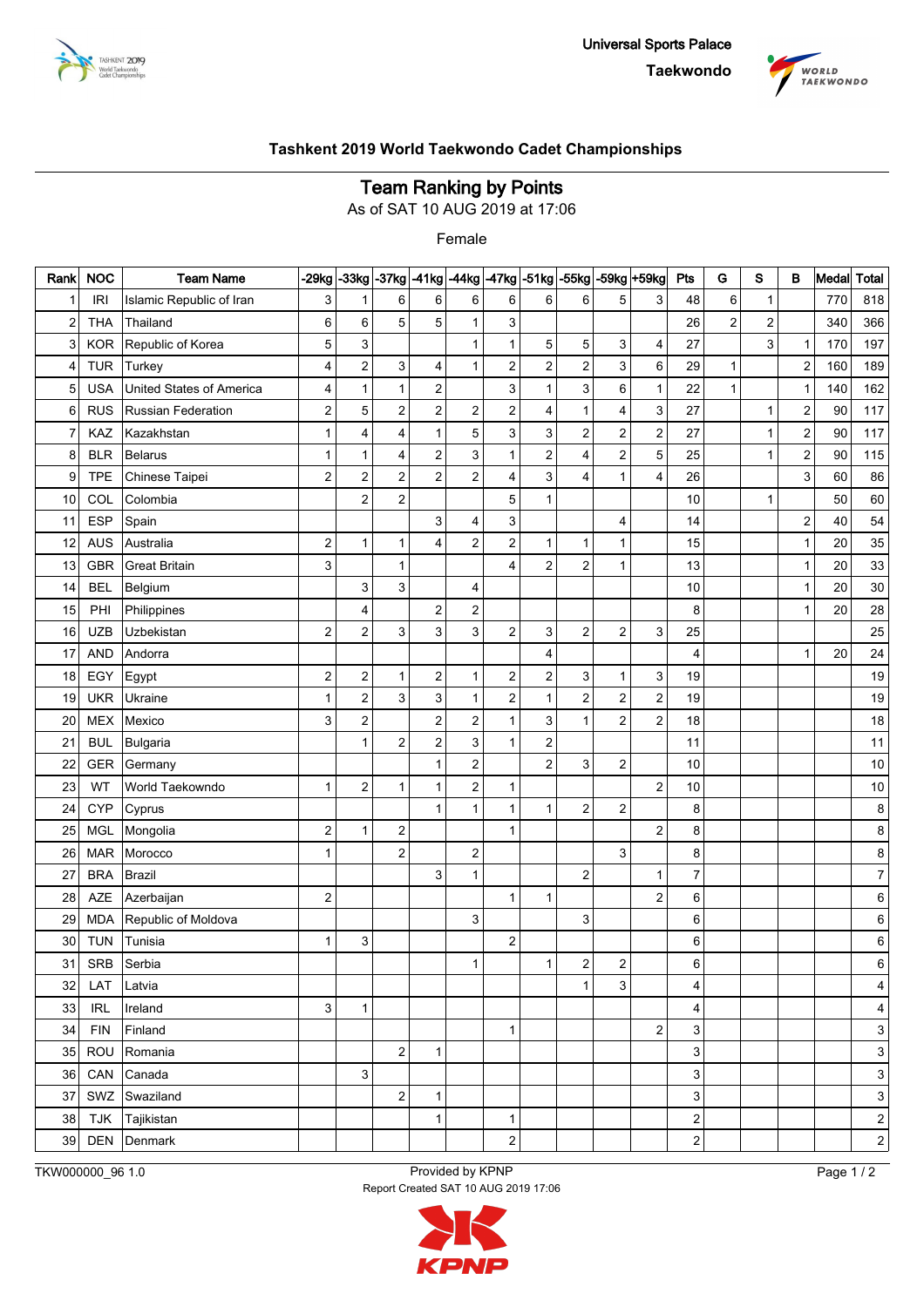



## **Team Ranking by Points**

As of SAT 10 AUG 2019 at 17:06

Female

| Rank                    | <b>NOC</b> | <b>Team Name</b>         | $-29kg$                 |                         | $-33$ kg $-37$ kg $-41$ kg |                         | $-44$ kg $-47$ kg         |                         |                | $-51$ kg $-55$ kg       | $-59kg$                 | +59kg            | Pts              | G              | s            | в                       | Medal | <b>Total</b>            |
|-------------------------|------------|--------------------------|-------------------------|-------------------------|----------------------------|-------------------------|---------------------------|-------------------------|----------------|-------------------------|-------------------------|------------------|------------------|----------------|--------------|-------------------------|-------|-------------------------|
| $\mathbf 1$             | <b>IRI</b> | Islamic Republic of Iran | 3                       | 1                       | 6                          | 6                       | 6                         | 6                       | 6              | 6                       | 5                       | 3                | 48               | 6              | 1            |                         | 770   | 818                     |
| $\overline{\mathbf{c}}$ | <b>THA</b> | Thailand                 | 6                       | 6                       | 5                          | 5                       | $\mathbf{1}$              | 3                       |                |                         |                         |                  | 26               | $\overline{c}$ | 2            |                         | 340   | 366                     |
| 3                       | <b>KOR</b> | Republic of Korea        | 5                       | 3                       |                            |                         | $\mathbf{1}$              | $\mathbf{1}$            | 5              | 5                       | 3                       | $\overline{4}$   | 27               |                | 3            | 1                       | 170   | 197                     |
| 4                       | <b>TUR</b> | Turkey                   | 4                       | $\overline{\mathbf{c}}$ | 3                          | $\overline{4}$          | $\mathbf{1}$              | $\overline{\mathbf{c}}$ | 2              | 2                       | 3                       | 6                | 29               | $\mathbf{1}$   |              | $\overline{\mathbf{c}}$ | 160   | 189                     |
| 5                       | <b>USA</b> | United States of America | 4                       | 1                       | $\mathbf{1}$               | $\overline{\mathbf{c}}$ |                           | 3                       | 1              | 3                       | 6                       | $\mathbf{1}$     | 22               | $\mathbf{1}$   |              | 1                       | 140   | 162                     |
| 6                       | <b>RUS</b> | Russian Federation       | 2                       | 5                       | $\overline{\mathbf{c}}$    | $\overline{c}$          | $\overline{\mathbf{c}}$   | $\overline{\mathbf{c}}$ | 4              | 1                       | 4                       | 3                | 27               |                | 1            | $\overline{\mathbf{c}}$ | 90    | 117                     |
| 7                       | KAZ        | Kazakhstan               | 1                       | 4                       | 4                          | $\mathbf{1}$            | 5                         | 3                       | 3              | 2                       | $\overline{c}$          | $\mathbf 2$      | 27               |                | $\mathbf{1}$ | $\overline{\mathbf{c}}$ | 90    | 117                     |
| 8                       | <b>BLR</b> | <b>Belarus</b>           | 1                       | 1                       | 4                          | $\overline{\mathbf{c}}$ | $\ensuremath{\mathsf{3}}$ | $\mathbf{1}$            | 2              | 4                       | $\overline{c}$          | $\mathbf 5$      | 25               |                | $\mathbf{1}$ | $\mathbf 2$             | 90    | 115                     |
| 9                       | <b>TPE</b> | Chinese Taipei           | 2                       | $\overline{\mathbf{c}}$ | $\overline{c}$             | $\overline{c}$          | $\overline{2}$            | 4                       | 3              | 4                       | 1                       | 4                | 26               |                |              | 3                       | 60    | 86                      |
| 10                      | COL        | Colombia                 |                         | 2                       | $\overline{2}$             |                         |                           | 5                       | 1              |                         |                         |                  | 10               |                | $\mathbf{1}$ |                         | 50    | 60                      |
| 11                      | <b>ESP</b> | Spain                    |                         |                         |                            | 3                       | 4                         | 3                       |                |                         | 4                       |                  | 14               |                |              | $\overline{\mathbf{c}}$ | 40    | 54                      |
| 12                      | <b>AUS</b> | Australia                | 2                       | 1                       | $\mathbf{1}$               | $\overline{4}$          | $\mathbf 2$               | $\overline{\mathbf{c}}$ | 1              | 1                       | 1                       |                  | 15               |                |              | 1                       | 20    | 35                      |
| 13                      | <b>GBR</b> | <b>Great Britain</b>     | 3                       |                         | $\mathbf{1}$               |                         |                           | 4                       | $\overline{2}$ | 2                       | 1                       |                  | 13               |                |              | 1                       | 20    | 33                      |
| 14                      | <b>BEL</b> | Belgium                  |                         | 3                       | 3                          |                         | 4                         |                         |                |                         |                         |                  | 10               |                |              | 1                       | 20    | 30                      |
| 15                      | PHI        | Philippines              |                         | 4                       |                            | $\overline{c}$          | $\mathbf 2$               |                         |                |                         |                         |                  | 8                |                |              | 1                       | 20    | 28                      |
| 16                      | <b>UZB</b> | Uzbekistan               | 2                       | $\overline{\mathbf{c}}$ | 3                          | 3                       | $\ensuremath{\mathsf{3}}$ | 2                       | 3              | 2                       | $\overline{c}$          | 3                | 25               |                |              |                         |       | 25                      |
| 17                      | <b>AND</b> | Andorra                  |                         |                         |                            |                         |                           |                         | 4              |                         |                         |                  | 4                |                |              | 1                       | 20    | 24                      |
| 18                      | EGY        | Egypt                    | $\overline{\mathbf{c}}$ | $\overline{\mathbf{c}}$ | $\mathbf{1}$               | $\boldsymbol{2}$        | $\mathbf{1}$              | 2                       | 2              | 3                       | 1                       | 3                | 19               |                |              |                         |       | 19                      |
| 19                      | <b>UKR</b> | Ukraine                  | 1                       | $\overline{\mathbf{c}}$ | 3                          | 3                       | $\mathbf{1}$              | $\overline{\mathbf{c}}$ | 1              | $\boldsymbol{2}$        | $\overline{\mathbf{c}}$ | $\mathbf 2$      | 19               |                |              |                         |       | 19                      |
| 20                      | <b>MEX</b> | Mexico                   | 3                       | 2                       |                            | $\mathbf 2$             | $\mathbf 2$               | $\mathbf{1}$            | 3              | 1                       | $\overline{\mathbf{c}}$ | $\boldsymbol{2}$ | 18               |                |              |                         |       | 18                      |
| 21                      | <b>BUL</b> | Bulgaria                 |                         | 1                       | $\overline{c}$             | $\overline{c}$          | 3                         | $\mathbf{1}$            | 2              |                         |                         |                  | 11               |                |              |                         |       | 11                      |
| 22                      | <b>GER</b> | Germany                  |                         |                         |                            | 1                       | $\mathbf 2$               |                         | $\overline{c}$ | 3                       | $\overline{\mathbf{c}}$ |                  | 10               |                |              |                         |       | 10                      |
| 23                      | WT         | World Taekowndo          | $\mathbf{1}$            | 2                       | $\mathbf{1}$               | $\mathbf{1}$            | $\overline{2}$            | $\mathbf{1}$            |                |                         |                         | $\overline{c}$   | 10               |                |              |                         |       | 10                      |
| 24                      | <b>CYP</b> | Cyprus                   |                         |                         |                            | 1                       | $\mathbf{1}$              | $\mathbf{1}$            | 1              | 2                       | $\overline{\mathbf{c}}$ |                  | 8                |                |              |                         |       | 8                       |
| 25                      | <b>MGL</b> | Mongolia                 | 2                       | 1                       | $\boldsymbol{2}$           |                         |                           | 1                       |                |                         |                         | $\overline{2}$   | 8                |                |              |                         |       | 8                       |
| 26                      | <b>MAR</b> | Morocco                  | 1                       |                         | $\overline{c}$             |                         | $\boldsymbol{2}$          |                         |                |                         | 3                       |                  | 8                |                |              |                         |       | 8                       |
| 27                      | <b>BRA</b> | <b>Brazil</b>            |                         |                         |                            | 3                       | 1                         |                         |                | $\overline{2}$          |                         | 1                | 7                |                |              |                         |       | 7                       |
| 28                      | AZE        | Azerbaijan               | 2                       |                         |                            |                         |                           | $\mathbf{1}$            | 1              |                         |                         | $\boldsymbol{2}$ | 6                |                |              |                         |       | 6                       |
| 29                      | <b>MDA</b> | Republic of Moldova      |                         |                         |                            |                         | 3                         |                         |                | 3                       |                         |                  | 6                |                |              |                         |       | 6                       |
| 30                      | <b>TUN</b> | Tunisia                  | 1                       | 3                       |                            |                         |                           | 2                       |                |                         |                         |                  | 6                |                |              |                         |       | 6                       |
| 31                      | SRB        | Serbia                   |                         |                         |                            |                         | 1 <sub>1</sub>            |                         | 1              | $\overline{\mathbf{c}}$ | $\boldsymbol{2}$        |                  | 6                |                |              |                         |       | 6                       |
| 32                      | LAT        | Latvia                   |                         |                         |                            |                         |                           |                         |                | 1                       | 3                       |                  | 4                |                |              |                         |       | 4                       |
| 33                      | <b>IRL</b> | Ireland                  | 3                       | 1                       |                            |                         |                           |                         |                |                         |                         |                  | 4                |                |              |                         |       | 4                       |
| 34                      | <b>FIN</b> | Finland                  |                         |                         |                            |                         |                           | 1                       |                |                         |                         | $\overline{c}$   | 3                |                |              |                         |       | 3                       |
| 35                      | ROU        | Romania                  |                         |                         | $\overline{2}$             | $\mathbf{1}$            |                           |                         |                |                         |                         |                  | 3                |                |              |                         |       | 3                       |
| 36                      | CAN        | Canada                   |                         | 3                       |                            |                         |                           |                         |                |                         |                         |                  | 3                |                |              |                         |       | 3                       |
| 37                      | SWZ        | Swaziland                |                         |                         | $\mathbf{2}$               | 1                       |                           |                         |                |                         |                         |                  | 3                |                |              |                         |       | 3                       |
| 38                      | <b>TJK</b> | Tajikistan               |                         |                         |                            | $\mathbf{1}$            |                           | 1                       |                |                         |                         |                  | $\boldsymbol{2}$ |                |              |                         |       | $\mathbf{2}$            |
| 39                      | <b>DEN</b> | Denmark                  |                         |                         |                            |                         |                           | 2                       |                |                         |                         |                  | $\overline{c}$   |                |              |                         |       | $\overline{\mathbf{c}}$ |

TKW000000\_96 1.0 Provided by KPNP Report Created SAT 10 AUG 2019 17:06 Page 1 / 2

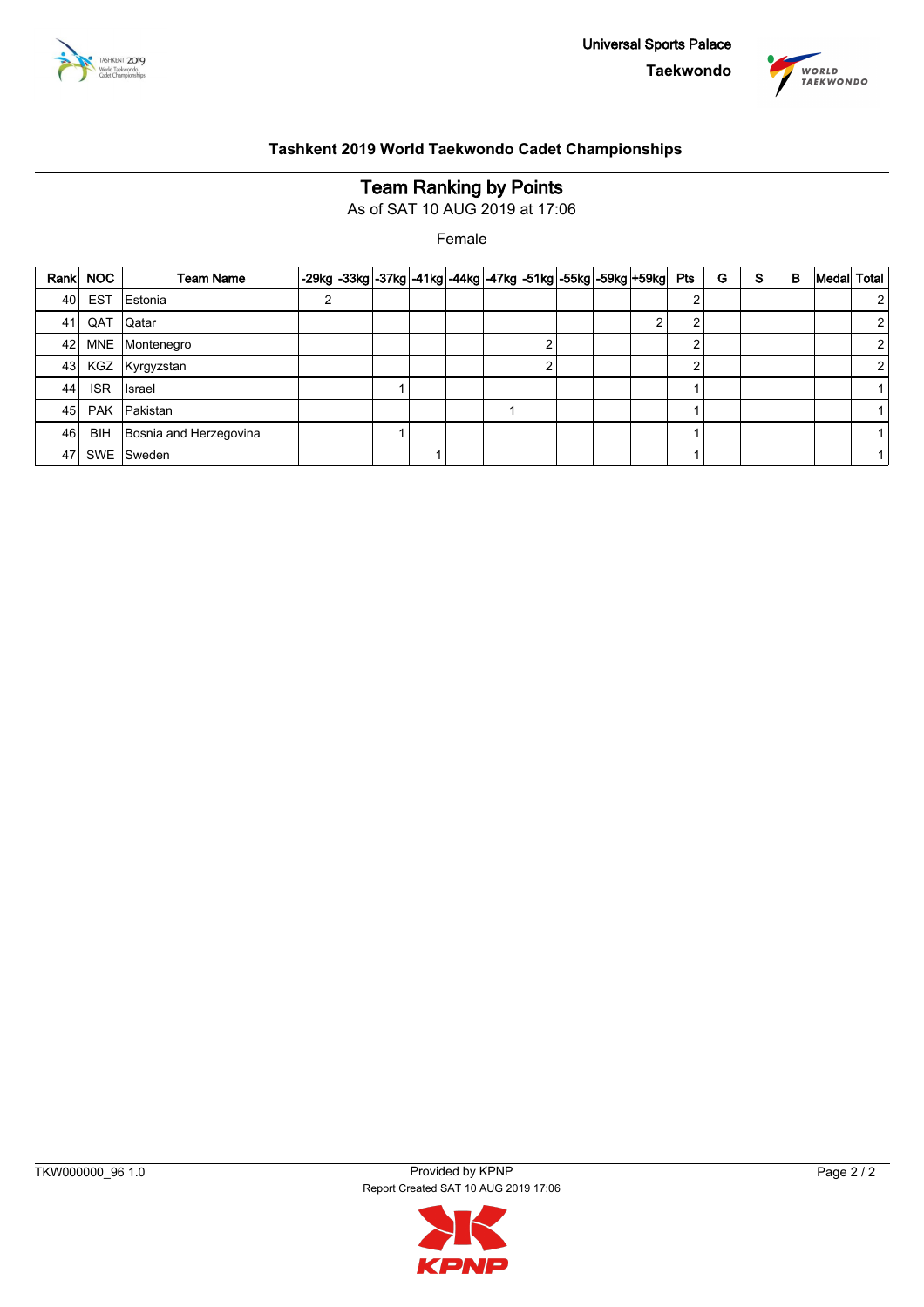



# **Team Ranking by Points**

As of SAT 10 AUG 2019 at 17:06

Female

| Rank | <b>NOC</b> | <b>Team Name</b>       |  |  |  |   |  | -29kg -33kg -37kg -41kg -44kg -47kg -51kg -55kg -59kg +59kg  Pts |   | G | S | в | Medal | <b>Total</b>   |
|------|------------|------------------------|--|--|--|---|--|------------------------------------------------------------------|---|---|---|---|-------|----------------|
| 40   | <b>EST</b> | Estonia                |  |  |  |   |  |                                                                  |   |   |   |   |       | 2              |
| 41   | QAT        | Qatar                  |  |  |  |   |  | $\sim$                                                           | ົ |   |   |   |       | 2              |
| 42   |            | MNE Montenegro         |  |  |  | ົ |  |                                                                  |   |   |   |   |       | 2              |
| 43   |            | KGZ Kyrgyzstan         |  |  |  | ົ |  |                                                                  | ົ |   |   |   |       | $\overline{2}$ |
| 44   | <b>ISR</b> | Israel                 |  |  |  |   |  |                                                                  |   |   |   |   |       | $\mathbf{1}$   |
| 45   | <b>PAK</b> | Pakistan               |  |  |  |   |  |                                                                  |   |   |   |   |       |                |
| 46   | <b>BIH</b> | Bosnia and Herzegovina |  |  |  |   |  |                                                                  |   |   |   |   |       |                |
| 47   | SWE        | Sweden                 |  |  |  |   |  |                                                                  |   |   |   |   |       | $\mathbf{1}$   |

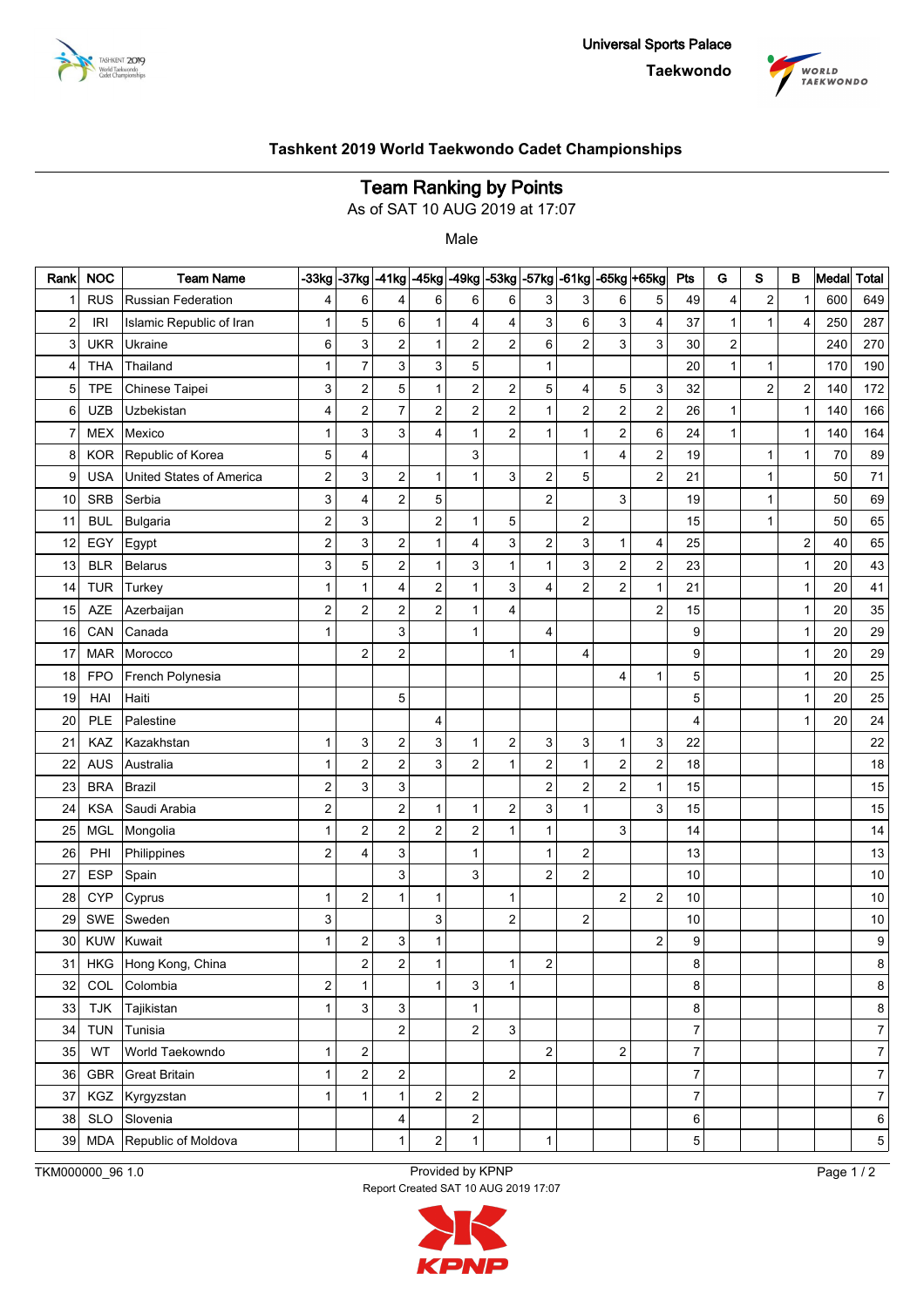



## **Team Ranking by Points**

As of SAT 10 AUG 2019 at 17:07

Male

| Rank                    | <b>NOC</b> | <b>Team Name</b>          | $-33kg$                 |                         | $-37$ kg $-41$ kg       | $-45kg$                 |                           |                         |                         | -49kg -53kg -57kg -61kg |                | -65kg +65kg               | Pts                      | G                | S            | в                       | Medal  | <b>Total</b>     |
|-------------------------|------------|---------------------------|-------------------------|-------------------------|-------------------------|-------------------------|---------------------------|-------------------------|-------------------------|-------------------------|----------------|---------------------------|--------------------------|------------------|--------------|-------------------------|--------|------------------|
| 1                       | <b>RUS</b> | <b>Russian Federation</b> | 4                       | 6                       | 4                       | 6                       | 6                         | 6                       | 3                       | 3                       | 6              | 5                         | 49                       | 4                | $\mathbf 2$  | $\mathbf{1}$            | 600    | 649              |
| $\overline{\mathbf{c}}$ | <b>IRI</b> | Islamic Republic of Iran  | 1                       | 5                       | 6                       | 1                       | 4                         | 4                       | 3                       | 6                       | 3              | 4                         | 37                       | $\mathbf{1}$     | $\mathbf{1}$ | 4                       | 250    | 287              |
| 3                       | <b>UKR</b> | Ukraine                   | 6                       | 3                       | $\mathbf 2$             | 1                       | $\overline{c}$            | $\overline{2}$          | 6                       | $\overline{2}$          | 3              | $\ensuremath{\mathsf{3}}$ | 30                       | $\boldsymbol{2}$ |              |                         | 240    | 270              |
| 4                       | <b>THA</b> | Thailand                  | $\mathbf{1}$            | 7                       | 3                       | 3                       | 5                         |                         | $\mathbf{1}$            |                         |                |                           | 20                       | $\mathbf{1}$     | $\mathbf{1}$ |                         | 170    | 190              |
| 5                       | <b>TPE</b> | Chinese Taipei            | 3                       | 2                       | $\mathbf 5$             | 1                       | $\mathbf 2$               | $\mathbf 2$             | 5                       | 4                       | 5              | 3                         | 32                       |                  | $\mathbf 2$  | 2                       | 140    | 172              |
| 6                       | <b>UZB</b> | Uzbekistan                | 4                       | $\overline{\mathbf{c}}$ | $\overline{7}$          | $\overline{c}$          | $\overline{c}$            | $\mathbf 2$             | $\mathbf{1}$            | $\overline{c}$          | 2              | $\sqrt{2}$                | 26                       | $\mathbf{1}$     |              | $\mathbf{1}$            | 140    | 166              |
| 7                       | <b>MEX</b> | Mexico                    | $\mathbf{1}$            | 3                       | 3                       | 4                       | $\mathbf{1}$              | $\overline{2}$          | $\mathbf{1}$            | $\mathbf{1}$            | 2              | $\,6\,$                   | 24                       | $\mathbf{1}$     |              | $\mathbf{1}$            | 140    | 164              |
| 8                       | <b>KOR</b> | Republic of Korea         | 5                       | 4                       |                         |                         | 3                         |                         |                         | $\mathbf{1}$            | 4              | $\mathbf 2$               | 19                       |                  | $\mathbf{1}$ | $\mathbf{1}$            | $70\,$ | 89               |
| 9                       | <b>USA</b> | United States of America  | 2                       | 3                       | $\overline{\mathbf{c}}$ | 1                       | $\mathbf{1}$              | 3                       | $\overline{\mathbf{c}}$ | 5                       |                | $\overline{c}$            | 21                       |                  | $\mathbf{1}$ |                         | 50     | 71               |
| 10                      | <b>SRB</b> | Serbia                    | 3                       | 4                       | $\mathbf 2$             | 5                       |                           |                         | $\overline{c}$          |                         | 3              |                           | 19                       |                  | $\mathbf{1}$ |                         | 50     | 69               |
| 11                      | <b>BUL</b> | Bulgaria                  | $\overline{\mathbf{c}}$ | 3                       |                         | $\overline{c}$          | $\mathbf{1}$              | 5                       |                         | 2                       |                |                           | 15                       |                  | $\mathbf{1}$ |                         | 50     | 65               |
| 12                      | EGY        | Egypt                     | 2                       | 3                       | $\mathbf 2$             | 1                       | $\overline{\mathbf{4}}$   | 3                       | $\overline{\mathbf{c}}$ | 3                       | $\mathbf 1$    | 4                         | 25                       |                  |              | $\overline{\mathbf{c}}$ | 40     | 65               |
| 13                      | <b>BLR</b> | <b>Belarus</b>            | 3                       | 5                       | $\mathbf 2$             | 1                       | 3                         | $\mathbf{1}$            | $\mathbf{1}$            | 3                       | 2              | $\overline{\mathbf{c}}$   | 23                       |                  |              | 1                       | 20     | 43               |
| 14                      | <b>TUR</b> | Turkey                    | $\mathbf{1}$            | 1                       | 4                       | $\overline{\mathbf{c}}$ | $\mathbf{1}$              | 3                       | 4                       | $\overline{c}$          | 2              | 1                         | 21                       |                  |              | 1                       | 20     | 41               |
| 15                      | <b>AZE</b> | Azerbaijan                | $\overline{\mathbf{c}}$ | 2                       | $\mathbf 2$             | $\overline{c}$          | $\overline{1}$            | $\overline{\mathbf{4}}$ |                         |                         |                | $\overline{c}$            | 15                       |                  |              | 1                       | 20     | 35               |
| 16                      | CAN        | Canada                    | $\mathbf{1}$            |                         | 3                       |                         | $\overline{1}$            |                         | 4                       |                         |                |                           | 9                        |                  |              | 1                       | 20     | 29               |
| 17                      | <b>MAR</b> | Morocco                   |                         | 2                       | $\boldsymbol{2}$        |                         |                           | $\mathbf{1}$            |                         | 4                       |                |                           | 9                        |                  |              | 1                       | 20     | 29               |
| 18                      | <b>FPO</b> | French Polynesia          |                         |                         |                         |                         |                           |                         |                         |                         | 4              | 1                         | 5                        |                  |              | 1                       | 20     | 25               |
| 19                      | HAI        | Haiti                     |                         |                         | 5                       |                         |                           |                         |                         |                         |                |                           | 5                        |                  |              | 1                       | 20     | 25               |
| 20                      | PLE        | Palestine                 |                         |                         |                         | $\overline{4}$          |                           |                         |                         |                         |                |                           | 4                        |                  |              | $\mathbf{1}$            | 20     | 24               |
| 21                      | KAZ        | Kazakhstan                | 1                       | 3                       | 2                       | 3                       | 1                         | $\mathbf 2$             | 3                       | 3                       | 1              | 3                         | 22                       |                  |              |                         |        | 22               |
| 22                      | <b>AUS</b> | Australia                 | $\mathbf{1}$            | $\overline{\mathbf{c}}$ | $\overline{c}$          | 3                       | $\overline{c}$            | $\mathbf{1}$            | $\overline{\mathbf{c}}$ | $\mathbf{1}$            | 2              | $\overline{\mathbf{c}}$   | 18                       |                  |              |                         |        | $18$             |
| 23                      | <b>BRA</b> | <b>Brazil</b>             | 2                       | 3                       | 3                       |                         |                           |                         | $\overline{\mathbf{c}}$ | $\overline{c}$          | 2              | 1                         | 15                       |                  |              |                         |        | 15               |
| 24                      | <b>KSA</b> | Saudi Arabia              | 2                       |                         | $\overline{\mathbf{c}}$ | $\mathbf 1$             | $\mathbf{1}$              | $\mathbf 2$             | 3                       | $\mathbf{1}$            |                | 3                         | 15                       |                  |              |                         |        | $15\,$           |
| 25                      | <b>MGL</b> | Mongolia                  | $\mathbf{1}$            | 2                       | $\boldsymbol{2}$        | $\overline{c}$          | $\mathbf 2$               | $\mathbf{1}$            | $\mathbf{1}$            |                         | 3              |                           | 14                       |                  |              |                         |        | 14               |
| 26                      | PHI        | Philippines               | 2                       | 4                       | 3                       |                         | $\overline{1}$            |                         | 1                       | 2                       |                |                           | 13                       |                  |              |                         |        | 13               |
| 27                      | <b>ESP</b> | Spain                     |                         |                         | 3                       |                         | 3                         |                         | $\overline{c}$          | $\boldsymbol{2}$        |                |                           | 10                       |                  |              |                         |        | $10\,$           |
| 28                      | <b>CYP</b> | Cyprus                    | $\mathbf{1}$            | 2                       | 1                       | 1                       |                           | $\mathbf{1}$            |                         |                         | 2              | $\boldsymbol{2}$          | 10                       |                  |              |                         |        | $10$             |
| 29                      | <b>SWE</b> | Sweden                    | 3                       |                         |                         | 3                       |                           | $\overline{2}$          |                         | 2                       |                |                           | 10                       |                  |              |                         |        | $10$             |
| 30                      | <b>KUW</b> | Kuwait                    | $\mathbf{1}$            | 2                       | 3                       | 1                       |                           |                         |                         |                         |                | $\overline{2}$            | 9                        |                  |              |                         |        | 9                |
| 31                      | HKG        | Hong Kong, China          |                         | 2                       | 2                       | $\mathbf{1}$            |                           | 1                       | 2                       |                         |                |                           | 8                        |                  |              |                         |        | 8                |
| 32                      | COL        | Colombia                  | 2                       | $\mathbf 1$             |                         | $\mathbf{1}$            | $\ensuremath{\mathsf{3}}$ | $\mathbf{1}$            |                         |                         |                |                           | 8                        |                  |              |                         |        | 8                |
| 33                      | <b>TJK</b> | Tajikistan                | $\mathbf{1}$            | 3                       | 3                       |                         | $\mathbf{1}$              |                         |                         |                         |                |                           | 8                        |                  |              |                         |        | 8                |
| 34                      | <b>TUN</b> | Tunisia                   |                         |                         | $\overline{\mathbf{c}}$ |                         | $\overline{c}$            | 3                       |                         |                         |                |                           | $\overline{\mathcal{I}}$ |                  |              |                         |        | $\overline{7}$   |
| 35                      | WT         | World Taekowndo           | $\mathbf{1}$            | $\overline{\mathbf{c}}$ |                         |                         |                           |                         | $\mathbf 2$             |                         | $\overline{c}$ |                           | $\overline{7}$           |                  |              |                         |        | $\overline{7}$   |
| 36                      | GBR        | <b>Great Britain</b>      | $\mathbf{1}$            | $\overline{c}$          | $\sqrt{2}$              |                         |                           | $\overline{2}$          |                         |                         |                |                           | $\overline{7}$           |                  |              |                         |        | $\overline{7}$   |
| 37                      | KGZ        | Kyrgyzstan                | $\mathbf{1}$            | 1                       | $\mathbf{1}$            | $\boldsymbol{2}$        | $\mathbf 2$               |                         |                         |                         |                |                           | 7                        |                  |              |                         |        | $\boldsymbol{7}$ |
| 38                      | <b>SLO</b> | Slovenia                  |                         |                         | 4                       |                         | $\overline{c}$            |                         |                         |                         |                |                           | $\,6$                    |                  |              |                         |        | 6                |
| 39                      |            | MDA Republic of Moldova   |                         |                         | $\mathbf{1}$            | $\overline{c}$          | $\mathbf{1}$              |                         | $\mathbf{1}$            |                         |                |                           | 5                        |                  |              |                         |        | 5                |

TKM000000\_96 1.0 Provided by KPNP Report Created SAT 10 AUG 2019 17:07 Page 1 / 2